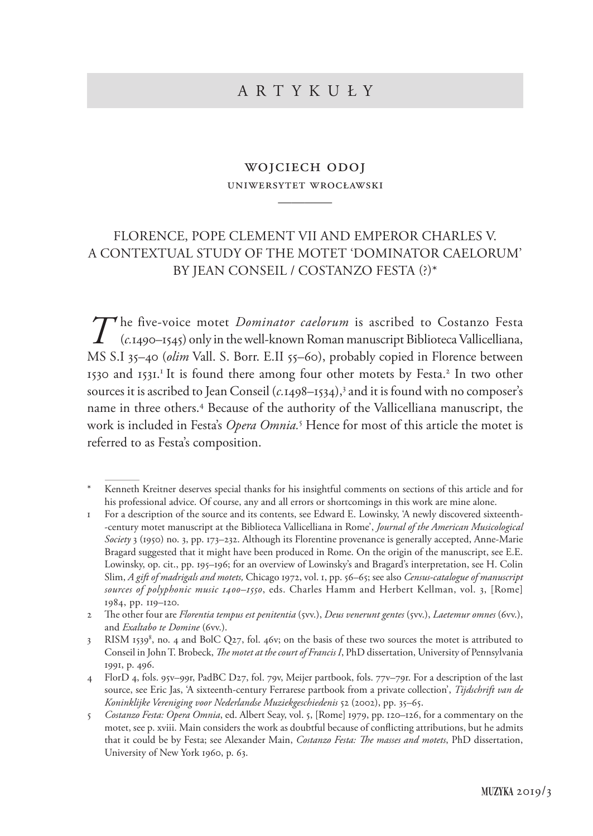# artyku ł y

## wojciech odoj uniwersytet wrocławski

————

## FLORENCE, POPE CLEMENT VII AND EMPEROR CHARLES V. A CONTEXTUAL STUDY OF THE MOTET 'DOMINATOR CAELORUM' BY JEAN CONSEIL / COSTANZO FESTA (?)\*

*T* he five-voice motet *Dominator caelorum* is ascribed to Costanzo Festa (*c.*1490–1545) only in the well-known Roman manuscript Biblioteca Vallicelliana, MS S.I 35–40 (*olim* Vall. S. Borr. E.II 55–60), probably copied in Florence between 1530 and 1531.<sup>1</sup> It is found there among four other motets by Festa.<sup>2</sup> In two other sources it is ascribed to Jean Conseil (*c.*1498–1534),3 and it is found with no composer's name in three others.4 Because of the authority of the Vallicelliana manuscript, the work is included in Festa's *Opera Omnia.*<sup>5</sup> Hence for most of this article the motet is referred to as Festa's composition.

Kenneth Kreitner deserves special thanks for his insightful comments on sections of this article and for his professional advice. Of course, any and all errors or shortcomings in this work are mine alone.

<sup>1</sup> For a description of the source and its contents, see Edward E. Lowinsky, 'A newly discovered sixteenth- -century motet manuscript at the Biblioteca Vallicelliana in Rome', *Journal of the American Musicological Society* 3 (1950) no. 3, pp. 173–232. Although its Florentine provenance is generally accepted, Anne-Marie Bragard suggested that it might have been produced in Rome. On the origin of the manuscript, see E.E. Lowinsky, op. cit., pp. 195–196; for an overview of Lowinsky's and Bragard's interpretation, see H. Colin Slim, *A gift of madrigals and motets,* Chicago 1972, vol. 1, pp. 56–65; see also *Census-catalogue of manuscript sources of polyphonic music 1400–1550*, eds. Charles Hamm and Herbert Kellman, vol. 3, [Rome] 1984, pp. 119–120.

<sup>2</sup> The other four are *Florentia tempus est penitentia* (5vv.), *Deus venerunt gentes* (5vv.), *Laetemur omnes* (6vv.), and *Exaltabo te Domine* (6vv.).

<sup>3</sup> RISM 1539 $\degree$ , no. 4 and BolC Q27, fol. 46v; on the basis of these two sources the motet is attributed to Conseil in John T. Brobeck, *The motet at the court of Francis I*, PhD dissertation, University of Pennsylvania 1991, p. 496.

<sup>4</sup> FlorD 4, fols. 95v–99r, PadBC D27, fol. 79v, Meijer partbook, fols. 77v–79r. For a description of the last source, see Eric Jas, 'A sixteenth-century Ferrarese partbook from a private collection', *Tijdschrift van de Koninklijke Vereniging voor Nederlandse Muziekgeschiedenis* 52 (2002), pp. 35–65.

<sup>5</sup> *Costanzo Festa: Opera Omnia*, ed. Albert Seay, vol. 5, [Rome] 1979, pp. 120–126, for a commentary on the motet, see p. xviii. Main considers the work as doubtful because of conflicting attributions, but he admits that it could be by Festa; see Alexander Main, *Costanzo Festa: The masses and motets*, PhD dissertation, University of New York 1960, p. 63.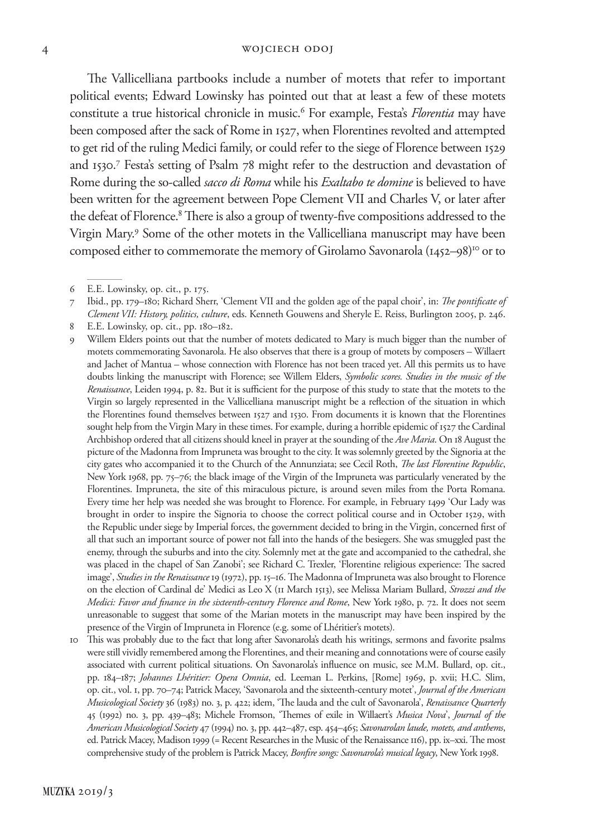The Vallicelliana partbooks include a number of motets that refer to important political events; Edward Lowinsky has pointed out that at least a few of these motets constitute a true historical chronicle in music.6 For example, Festa's *Florentia* may have been composed after the sack of Rome in 1527, when Florentines revolted and attempted to get rid of the ruling Medici family, or could refer to the siege of Florence between 1529 and 1530.7 Festa's setting of Psalm 78 might refer to the destruction and devastation of Rome during the so-called *sacco di Roma* while his *Exaltabo te domine* is believed to have been written for the agreement between Pope Clement VII and Charles V, or later after the defeat of Florence.<sup>8</sup> There is also a group of twenty-five compositions addressed to the Virgin Mary.9 Some of the other motets in the Vallicelliana manuscript may have been composed either to commemorate the memory of Girolamo Savonarola (1452–98)<sup>10</sup> or to

- 8 E.E. Lowinsky, op. cit., pp. 180–182.
- 9 Willem Elders points out that the number of motets dedicated to Mary is much bigger than the number of motets commemorating Savonarola. He also observes that there is a group of motets by composers – Willaert and Jachet of Mantua – whose connection with Florence has not been traced yet. All this permits us to have doubts linking the manuscript with Florence; see Willem Elders, *Symbolic scores. Studies in the music of the Renaissance*, Leiden 1994, p. 82. But it is sufficient for the purpose of this study to state that the motets to the Virgin so largely represented in the Vallicelliana manuscript might be a reflection of the situation in which the Florentines found themselves between 1527 and 1530. From documents it is known that the Florentines sought help from the Virgin Mary in these times. For example, during a horrible epidemic of 1527 the Cardinal Archbishop ordered that all citizens should kneel in prayer at the sounding of the *Ave Maria*. On 18 August the picture of the Madonna from Impruneta was brought to the city. It was solemnly greeted by the Signoria at the city gates who accompanied it to the Church of the Annunziata; see Cecil Roth, *The last Florentine Republic*, New York 1968, pp. 75–76; the black image of the Virgin of the Impruneta was particularly venerated by the Florentines. Impruneta, the site of this miraculous picture, is around seven miles from the Porta Romana. Every time her help was needed she was brought to Florence. For example, in February 1499 'Our Lady was brought in order to inspire the Signoria to choose the correct political course and in October 1529, with the Republic under siege by Imperial forces, the government decided to bring in the Virgin, concerned first of all that such an important source of power not fall into the hands of the besiegers. She was smuggled past the enemy, through the suburbs and into the city. Solemnly met at the gate and accompanied to the cathedral, she was placed in the chapel of San Zanobi'; see Richard C. Trexler, 'Florentine religious experience: The sacred image', *Studies in the Renaissance* 19 (1972), pp. 15–16. The Madonna of Impruneta was also brought to Florence on the election of Cardinal de' Medici as Leo X (11 March 1513), see Melissa Mariam Bullard, *Strozzi and the Medici: Favor and finance in the sixteenth-century Florence and Rome*, New York 1980, p. 72. It does not seem unreasonable to suggest that some of the Marian motets in the manuscript may have been inspired by the presence of the Virgin of Impruneta in Florence (e.g. some of Lhéritier's motets)*.*
- 10 This was probably due to the fact that long after Savonarola's death his writings, sermons and favorite psalms were still vividly remembered among the Florentines, and their meaning and connotations were of course easily associated with current political situations. On Savonarola's influence on music, see M.M. Bullard, op. cit., pp. 184–187; *Johannes Lhéritier: Opera Omnia*, ed. Leeman L. Perkins, [Rome] 1969, p. xvii; H.C. Slim, op. cit., vol. 1, pp. 70–74; Patrick Macey, 'Savonarola and the sixteenth-century motet', *Journal of the American Musicological Society* 36 (1983) no. 3, p. 422; idem, 'The lauda and the cult of Savonarola', *Renaissance Quarterly* 45 (1992) no. 3, pp. 439–483; Michele Fromson, 'Themes of exile in Willaert's *Musica Nova*', *Journal of the American Musicological Society* 47 (1994) no. 3, pp. 442–487, esp. 454–465; *Savonarolan laude, motets, and anthems*, ed. Patrick Macey, Madison 1999 (= Recent Researches in the Music of the Renaissance 116), pp. ix–xxi. The most comprehensive study of the problem is Patrick Macey, *Bonfire songs: Savonarola's musical legacy*, New York 1998.

<sup>6</sup> E.E. Lowinsky, op. cit., p. 175.

<sup>7</sup> Ibid., pp. 179–180; Richard Sherr, 'Clement VII and the golden age of the papal choir', in: *The pontificate of Clement VII: History, politics, culture*, eds. Kenneth Gouwens and Sheryle E. Reiss, Burlington 2005, p. 246.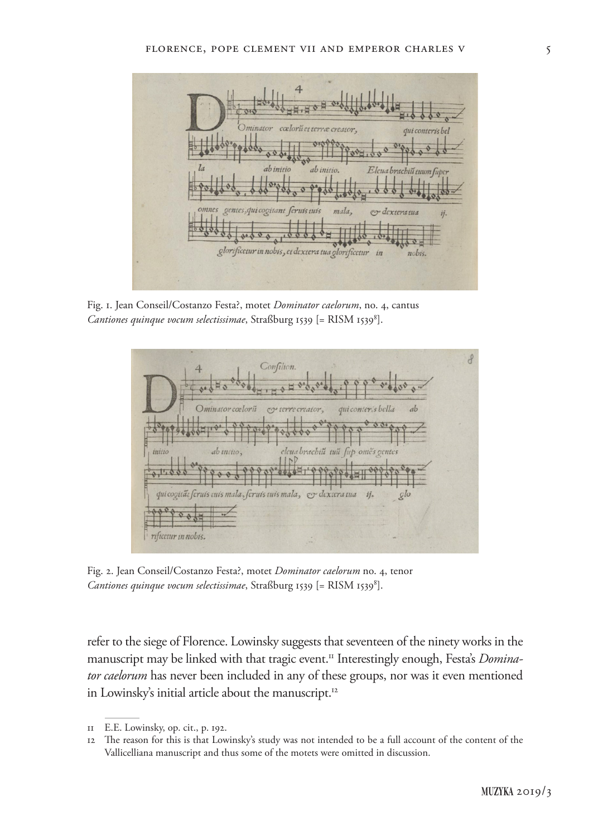

Fig. 1. Jean Conseil/Costanzo Festa?, motet *Dominator caelorum*, no. 4, cantus Cantiones quinque vocum selectissimae, Straßburg 1539 [= RISM 1539<sup>8</sup>].



Fig. 2. Jean Conseil/Costanzo Festa?, motet *Dominator caelorum* no. 4, tenor Cantiones quinque vocum selectissimae, Straßburg 1539 [= RISM 1539<sup>8</sup>].

refer to the siege of Florence. Lowinsky suggests that seventeen of the ninety works in the manuscript may be linked with that tragic event.<sup>11</sup> Interestingly enough, Festa's *Dominator caelorum* has never been included in any of these groups, nor was it even mentioned in Lowinsky's initial article about the manuscript.<sup>12</sup>

<sup>11</sup> E.E. Lowinsky, op. cit., p. 192.

<sup>12</sup> The reason for this is that Lowinsky's study was not intended to be a full account of the content of the Vallicelliana manuscript and thus some of the motets were omitted in discussion.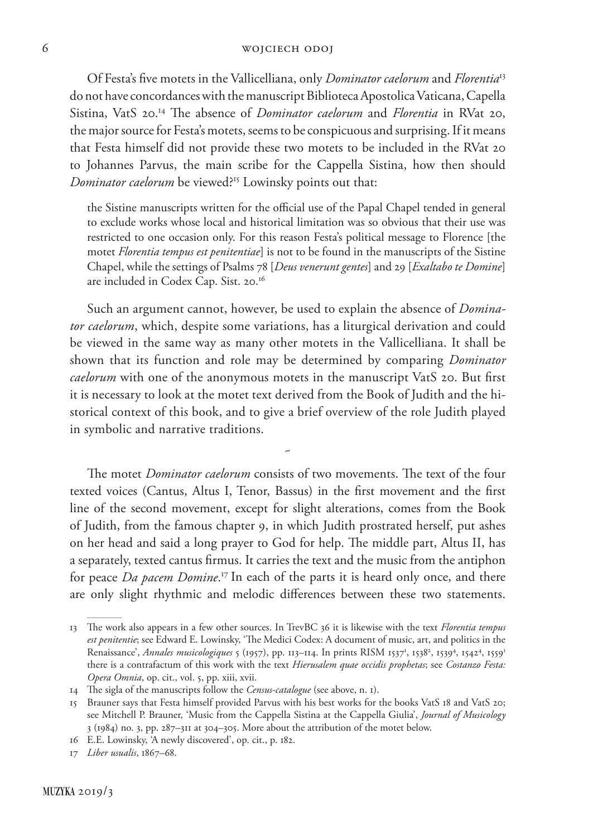Of Festa's five motets in the Vallicelliana, only *Dominator caelorum* and *Florentia*<sup>13</sup> do not have concordances with the manuscript Biblioteca Apostolica Vaticana, Capella Sistina, VatS 20.14 The absence of *Dominator caelorum* and *Florentia* in RVat 20, the major source for Festa's motets, seems to be conspicuous and surprising. If it means that Festa himself did not provide these two motets to be included in the RVat 20 to Johannes Parvus, the main scribe for the Cappella Sistina, how then should *Dominator caelorum* be viewed?<sup>15</sup> Lowinsky points out that:

the Sistine manuscripts written for the official use of the Papal Chapel tended in general to exclude works whose local and historical limitation was so obvious that their use was restricted to one occasion only. For this reason Festa's political message to Florence [the motet *Florentia tempus est penitentiae*] is not to be found in the manuscripts of the Sistine Chapel, while the settings of Psalms 78 [*Deus venerunt gentes*] and 29 [*Exaltabo te Domine*] are included in Codex Cap. Sist. 20.16

Such an argument cannot, however, be used to explain the absence of *Dominator caelorum*, which, despite some variations, has a liturgical derivation and could be viewed in the same way as many other motets in the Vallicelliana. It shall be shown that its function and role may be determined by comparing *Dominator caelorum* with one of the anonymous motets in the manuscript VatS 20. But first it is necessary to look at the motet text derived from the Book of Judith and the historical context of this book, and to give a brief overview of the role Judith played in symbolic and narrative traditions.

~

The motet *Dominator caelorum* consists of two movements. The text of the four texted voices (Cantus, Altus I, Tenor, Bassus) in the first movement and the first line of the second movement, except for slight alterations, comes from the Book of Judith, from the famous chapter 9, in which Judith prostrated herself, put ashes on her head and said a long prayer to God for help. The middle part, Altus II, has a separately, texted cantus firmus. It carries the text and the music from the antiphon for peace *Da pacem Domine*. 17 In each of the parts it is heard only once, and there are only slight rhythmic and melodic differences between these two statements.

<sup>13</sup> The work also appears in a few other sources. In TrevBC 36 it is likewise with the text *Florentia tempus est penitentie*; see Edward E. Lowinsky, 'The Medici Codex: A document of music, art, and politics in the Renaissance', *Annales musicologiques* 5 (1957), pp. 113–114. In prints RISM 1537<sup>1</sup>, 1538<sup>2</sup>, 1539<sup>4</sup>, 1542<sup>4</sup>, 1559<sup>1</sup> there is a contrafactum of this work with the text *Hierusalem quae occidis prophetas*; see *Costanzo Festa: Opera Omnia*, op. cit., vol. 5, pp. xiii, xvii.

<sup>14</sup> The sigla of the manuscripts follow the *Census-catalogue* (see above, n. 1).

<sup>15</sup> Brauner says that Festa himself provided Parvus with his best works for the books VatS 18 and VatS 20; see Mitchell P. Brauner, 'Music from the Cappella Sistina at the Cappella Giulia', *Journal of Musicology* 3 (1984) no. 3, pp. 287–311 at 304–305. More about the attribution of the motet below.

<sup>16</sup> E.E. Lowinsky, 'A newly discovered', op. cit., p. 182.

<sup>17</sup> *Liber usualis*, 1867–68.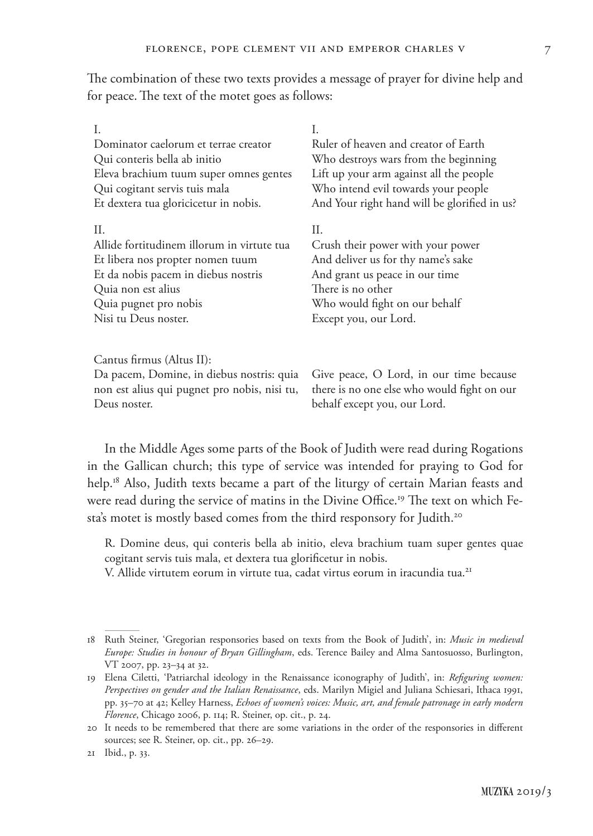The combination of these two texts provides a message of prayer for divine help and for peace.The text of the motet goes as follows:

| I.                                                                                                                     |
|------------------------------------------------------------------------------------------------------------------------|
| Ruler of heaven and creator of Earth                                                                                   |
| Who destroys wars from the beginning                                                                                   |
| Lift up your arm against all the people                                                                                |
| Who intend evil towards your people                                                                                    |
| And Your right hand will be glorified in us?                                                                           |
| II.                                                                                                                    |
| Crush their power with your power                                                                                      |
| And deliver us for thy name's sake                                                                                     |
| And grant us peace in our time                                                                                         |
| There is no other                                                                                                      |
| Who would fight on our behalf                                                                                          |
| Except you, our Lord.                                                                                                  |
|                                                                                                                        |
|                                                                                                                        |
| Give peace, O Lord, in our time because<br>there is no one else who would fight on our<br>behalf except you, our Lord. |
|                                                                                                                        |

In the Middle Ages some parts of the Book of Judith were read during Rogations in the Gallican church; this type of service was intended for praying to God for help.18 Also, Judith texts became a part of the liturgy of certain Marian feasts and were read during the service of matins in the Divine Office.19 The text on which Festa's motet is mostly based comes from the third responsory for Judith.<sup>20</sup>

R. Domine deus, qui conteris bella ab initio, eleva brachium tuam super gentes quae cogitant servis tuis mala, et dextera tua glorificetur in nobis.

V. Allide virtutem eorum in virtute tua, cadat virtus eorum in iracundia tua.<sup>21</sup>

<sup>18</sup> Ruth Steiner, 'Gregorian responsories based on texts from the Book of Judith', in: *Music in medieval Europe: Studies in honour of Bryan Gillingham*, eds. Terence Bailey and Alma Santosuosso, Burlington, VT 2007, pp. 23–34 at 32.

<sup>19</sup> Elena Ciletti, 'Patriarchal ideology in the Renaissance iconography of Judith', in: *Refiguring women: Perspectives on gender and the Italian Renaissance*, eds. Marilyn Migiel and Juliana Schiesari, Ithaca 1991, pp. 35–70 at 42; Kelley Harness, *Echoes of women's voices: Music, art, and female patronage in early modern Florence*, Chicago 2006, p. 114; R. Steiner, op. cit., p. 24.

<sup>20</sup> It needs to be remembered that there are some variations in the order of the responsories in different sources; see R. Steiner, op. cit., pp. 26–29.

<sup>21</sup> Ibid., p. 33.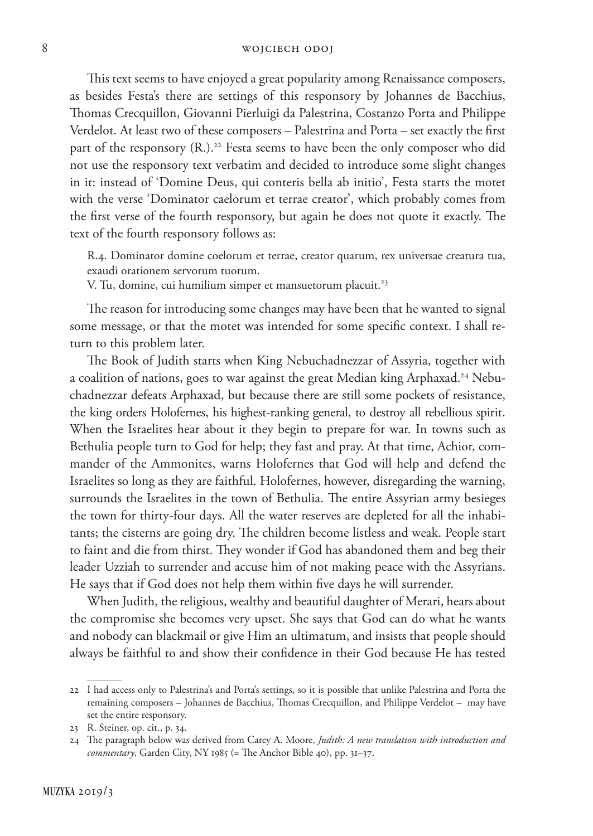This text seems to have enjoyed a great popularity among Renaissance composers, as besides Festa's there are settings of this responsory by Johannes de Bacchius, Thomas Crecquillon, Giovanni Pierluigi da Palestrina, Costanzo Porta and Philippe Verdelot. At least two of these composers – Palestrina and Porta – set exactly the first part of the responsory  $(R_1)^{22}$  Festa seems to have been the only composer who did not use the responsory text verbatim and decided to introduce some slight changes in it: instead of 'Domine Deus, qui conteris bella ab initio', Festa starts the motet with the verse 'Dominator caelorum et terrae creator', which probably comes from the first verse of the fourth responsory, but again he does not quote it exactly. The text of the fourth responsory follows as:

R.4. Dominator domine coelorum et terrae, creator quarum, rex universae creatura tua, exaudi orationem servorum tuorum.

V. Tu, domine, cui humilium simper et mansuetorum placuit.<sup>23</sup>

The reason for introducing some changes may have been that he wanted to signal some message, or that the motet was intended for some specific context. I shall return to this problem later.

The Book of Judith starts when King Nebuchadnezzar of Assyria, together with a coalition of nations, goes to war against the great Median king Arphaxad.<sup>24</sup> Nebuchadnezzar defeats Arphaxad, but because there are still some pockets of resistance, the king orders Holofernes, his highest-ranking general, to destroy all rebellious spirit. When the Israelites hear about it they begin to prepare for war. In towns such as Bethulia people turn to God for help; they fast and pray. At that time, Achior, commander of the Ammonites, warns Holofernes that God will help and defend the Israelites so long as they are faithful. Holofernes, however, disregarding the warning, surrounds the Israelites in the town of Bethulia. The entire Assyrian army besieges the town for thirty-four days. All the water reserves are depleted for all the inhabitants; the cisterns are going dry. The children become listless and weak. People start to faint and die from thirst. They wonder if God has abandoned them and beg their leader Uzziah to surrender and accuse him of not making peace with the Assyrians. He says that if God does not help them within five days he will surrender.

When Judith, the religious, wealthy and beautiful daughter of Merari, hears about the compromise she becomes very upset. She says that God can do what he wants and nobody can blackmail or give Him an ultimatum, and insists that people should always be faithful to and show their confidence in their God because He has tested

<sup>22</sup> I had access only to Palestrina's and Porta's settings, so it is possible that unlike Palestrina and Porta the remaining composers – Johannes de Bacchius, Thomas Crecquillon, and Philippe Verdelot – may have set the entire responsory.

<sup>23</sup> R. Steiner, op. cit., p. 34.

<sup>24</sup> The paragraph below was derived from Carey A. Moore, *Judith: A new translation with introduction and commentary*, Garden City, NY 1985 (= The Anchor Bible 40), pp. 31–37.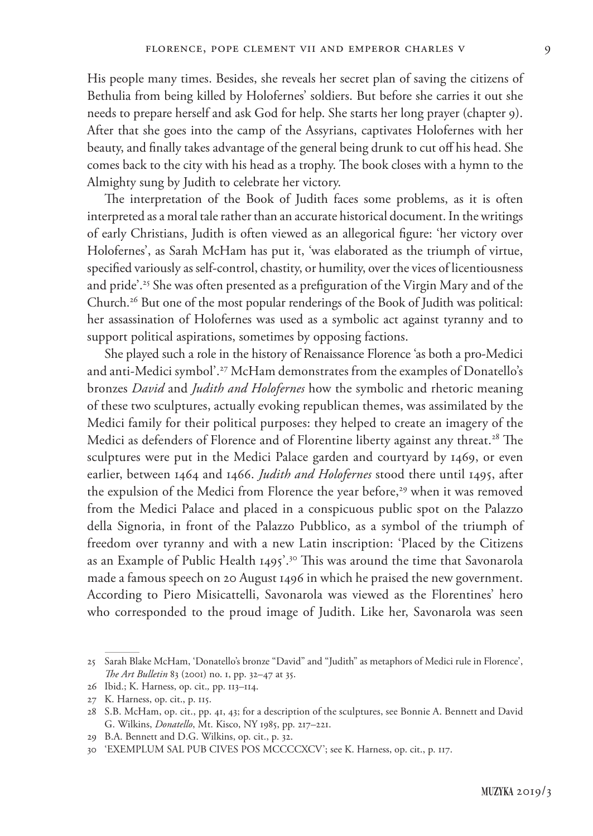His people many times. Besides, she reveals her secret plan of saving the citizens of Bethulia from being killed by Holofernes' soldiers. But before she carries it out she needs to prepare herself and ask God for help. She starts her long prayer (chapter 9). After that she goes into the camp of the Assyrians, captivates Holofernes with her beauty, and finally takes advantage of the general being drunk to cut off his head. She comes back to the city with his head as a trophy. The book closes with a hymn to the Almighty sung by Judith to celebrate her victory.

The interpretation of the Book of Judith faces some problems, as it is often interpreted as a moral tale rather than an accurate historical document. In the writings of early Christians, Judith is often viewed as an allegorical figure: 'her victory over Holofernes', as Sarah McHam has put it, 'was elaborated as the triumph of virtue, specified variously as self-control, chastity, or humility, over the vices of licentiousness and pride'.25 She was often presented as a prefiguration of the Virgin Mary and of the Church.26 But one of the most popular renderings of the Book of Judith was political: her assassination of Holofernes was used as a symbolic act against tyranny and to support political aspirations, sometimes by opposing factions.

She played such a role in the history of Renaissance Florence 'as both a pro-Medici and anti-Medici symbol'.27 McHam demonstrates from the examples of Donatello's bronzes *David* and *Judith and Holofernes* how the symbolic and rhetoric meaning of these two sculptures, actually evoking republican themes, was assimilated by the Medici family for their political purposes: they helped to create an imagery of the Medici as defenders of Florence and of Florentine liberty against any threat.<sup>28</sup> The sculptures were put in the Medici Palace garden and courtyard by 1469, or even earlier, between 1464 and 1466. *Judith and Holofernes* stood there until 1495, after the expulsion of the Medici from Florence the year before,<sup>29</sup> when it was removed from the Medici Palace and placed in a conspicuous public spot on the Palazzo della Signoria, in front of the Palazzo Pubblico, as a symbol of the triumph of freedom over tyranny and with a new Latin inscription: 'Placed by the Citizens as an Example of Public Health 1495'.<sup>30</sup> This was around the time that Savonarola made a famous speech on 20 August 1496 in which he praised the new government. According to Piero Misicattelli, Savonarola was viewed as the Florentines' hero who corresponded to the proud image of Judith. Like her, Savonarola was seen

<sup>25</sup> Sarah Blake McHam, 'Donatello's bronze "David" and "Judith" as metaphors of Medici rule in Florence', *The Art Bulletin* 83 (2001) no. 1, pp. 32–47 at 35.

<sup>26</sup> Ibid.; K. Harness, op. cit.*,* pp. 113–114.

<sup>27</sup> K. Harness, op. cit., p. 115.

<sup>28</sup> S.B. McHam, op. cit., pp. 41, 43; for a description of the sculptures, see Bonnie A. Bennett and David G. Wilkins, *Donatello*, Mt. Kisco, NY 1985, pp. 217–221.

<sup>29</sup> B.A. Bennett and D.G. Wilkins, op. cit., p. 32.

<sup>30</sup> 'EXEMPLUM SAL PUB CIVES POS MCCCCXCV'; see K. Harness, op. cit., p. 117.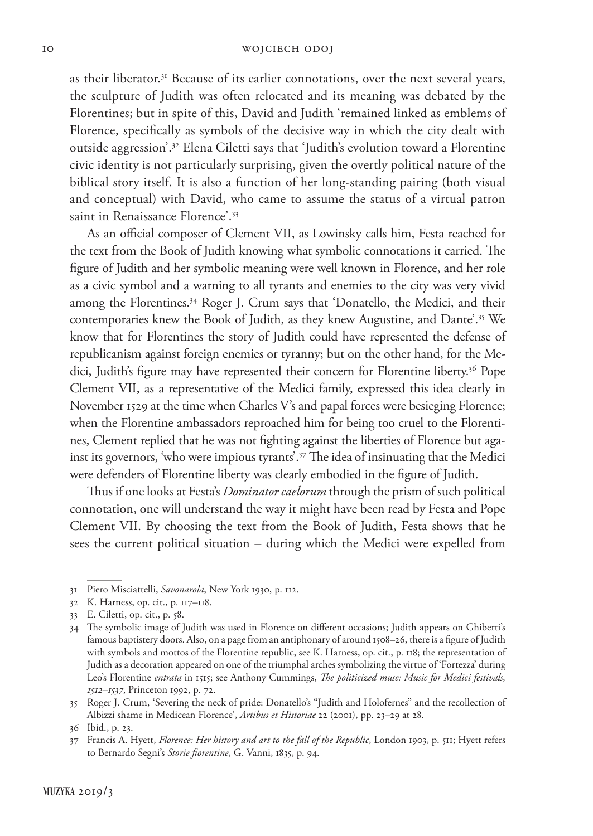as their liberator.<sup>31</sup> Because of its earlier connotations, over the next several years, the sculpture of Judith was often relocated and its meaning was debated by the Florentines; but in spite of this, David and Judith 'remained linked as emblems of Florence, specifically as symbols of the decisive way in which the city dealt with outside aggression'.32 Elena Ciletti says that 'Judith's evolution toward a Florentine civic identity is not particularly surprising, given the overtly political nature of the biblical story itself. It is also a function of her long-standing pairing (both visual and conceptual) with David, who came to assume the status of a virtual patron saint in Renaissance Florence'.33

As an official composer of Clement VII, as Lowinsky calls him, Festa reached for the text from the Book of Judith knowing what symbolic connotations it carried. The figure of Judith and her symbolic meaning were well known in Florence, and her role as a civic symbol and a warning to all tyrants and enemies to the city was very vivid among the Florentines.34 Roger J. Crum says that 'Donatello, the Medici, and their contemporaries knew the Book of Judith, as they knew Augustine, and Dante'.35 We know that for Florentines the story of Judith could have represented the defense of republicanism against foreign enemies or tyranny; but on the other hand, for the Medici, Judith's figure may have represented their concern for Florentine liberty.<sup>36</sup> Pope Clement VII, as a representative of the Medici family, expressed this idea clearly in November 1529 at the time when Charles V's and papal forces were besieging Florence; when the Florentine ambassadors reproached him for being too cruel to the Florentines, Clement replied that he was not fighting against the liberties of Florence but against its governors, 'who were impious tyrants'.37 The idea of insinuating that the Medici were defenders of Florentine liberty was clearly embodied in the figure of Judith.

Thus if one looks at Festa's *Dominator caelorum* through the prism of such political connotation, one will understand the way it might have been read by Festa and Pope Clement VII. By choosing the text from the Book of Judith, Festa shows that he sees the current political situation – during which the Medici were expelled from

<sup>31</sup> Piero Misciattelli, *Savonarola*, New York 1930, p. 112.

<sup>32</sup> K. Harness, op. cit., p. 117–118.

<sup>33</sup> E. Ciletti, op. cit., p. 58.

<sup>34</sup> The symbolic image of Judith was used in Florence on different occasions; Judith appears on Ghiberti's famous baptistery doors. Also, on a page from an antiphonary of around 1508–26, there is a figure of Judith with symbols and mottos of the Florentine republic, see K. Harness, op. cit., p. 118; the representation of Judith as a decoration appeared on one of the triumphal arches symbolizing the virtue of 'Fortezza' during Leo's Florentine *entrata* in 1515; see Anthony Cummings, *The politicized muse: Music for Medici festivals, 1512–1537*, Princeton 1992, p. 72.

<sup>35</sup> Roger J. Crum, 'Severing the neck of pride: Donatello's "Judith and Holofernes" and the recollection of Albizzi shame in Medicean Florence', *Artibus et Historiae* 22 (2001), pp. 23–29 at 28.

<sup>36</sup> Ibid., p. 23.

<sup>37</sup> Francis A. Hyett, *Florence: Her history and art to the fall of the Republic*, London 1903, p. 511; Hyett refers to Bernardo Segni's *Storie fiorentine*, G. Vanni, 1835, p. 94.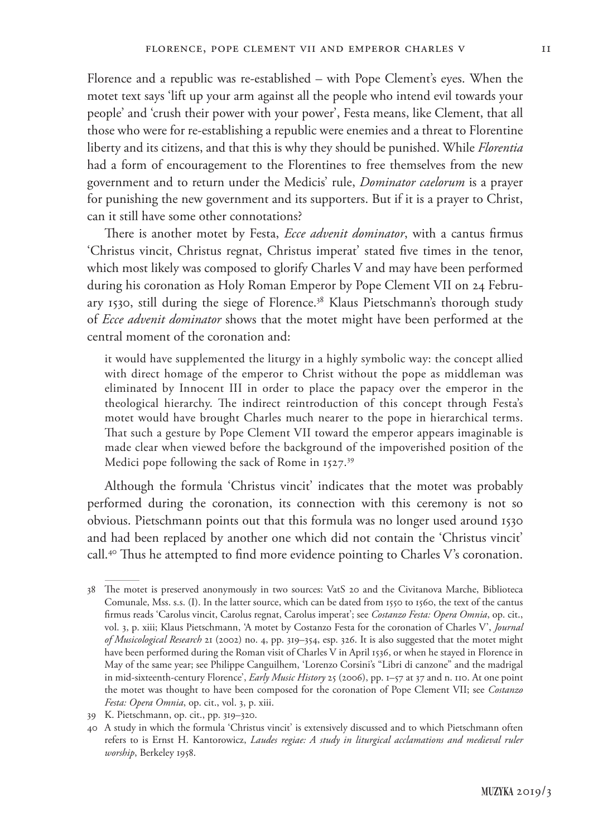Florence and a republic was re-established – with Pope Clement's eyes. When the motet text says 'lift up your arm against all the people who intend evil towards your people' and 'crush their power with your power', Festa means, like Clement, that all those who were for re-establishing a republic were enemies and a threat to Florentine liberty and its citizens, and that this is why they should be punished. While *Florentia* had a form of encouragement to the Florentines to free themselves from the new government and to return under the Medicis' rule, *Dominator caelorum* is a prayer for punishing the new government and its supporters. But if it is a prayer to Christ, can it still have some other connotations?

There is another motet by Festa, *Ecce advenit dominator*, with a cantus firmus 'Christus vincit, Christus regnat, Christus imperat' stated five times in the tenor, which most likely was composed to glorify Charles V and may have been performed during his coronation as Holy Roman Emperor by Pope Clement VII on 24 February 1530, still during the siege of Florence.38 Klaus Pietschmann's thorough study of *Ecce advenit dominator* shows that the motet might have been performed at the central moment of the coronation and:

it would have supplemented the liturgy in a highly symbolic way: the concept allied with direct homage of the emperor to Christ without the pope as middleman was eliminated by Innocent III in order to place the papacy over the emperor in the theological hierarchy. The indirect reintroduction of this concept through Festa's motet would have brought Charles much nearer to the pope in hierarchical terms. That such a gesture by Pope Clement VII toward the emperor appears imaginable is made clear when viewed before the background of the impoverished position of the Medici pope following the sack of Rome in 1527.<sup>39</sup>

Although the formula 'Christus vincit' indicates that the motet was probably performed during the coronation, its connection with this ceremony is not so obvious. Pietschmann points out that this formula was no longer used around 1530 and had been replaced by another one which did not contain the 'Christus vincit' call.40 Thus he attempted to find more evidence pointing to Charles V's coronation.

<sup>38</sup> The motet is preserved anonymously in two sources: VatS 20 and the Civitanova Marche, Biblioteca Comunale, Mss. s.s. (I). In the latter source, which can be dated from 1550 to 1560, the text of the cantus firmus reads 'Carolus vincit, Carolus regnat, Carolus imperat'; see *Costanzo Festa: Opera Omnia*, op. cit., vol. 3, p. xiii; Klaus Pietschmann, 'A motet by Costanzo Festa for the coronation of Charles V', *Journal of Musicological Research* 21 (2002) no. 4, pp. 319–354, esp. 326. It is also suggested that the motet might have been performed during the Roman visit of Charles V in April 1536, or when he stayed in Florence in May of the same year; see Philippe Canguilhem, 'Lorenzo Corsini's "Libri di canzone" and the madrigal in mid-sixteenth-century Florence', *Early Music History* 25 (2006), pp. 1–57 at 37 and n. 110. At one point the motet was thought to have been composed for the coronation of Pope Clement VII; see *Costanzo Festa: Opera Omnia*, op. cit., vol. 3, p. xiii.

<sup>39</sup> K. Pietschmann, op. cit., pp. 319–320.

<sup>40</sup> A study in which the formula 'Christus vincit' is extensively discussed and to which Pietschmann often refers to is Ernst H. Kantorowicz, *Laudes regiae: A study in liturgical acclamations and medieval ruler worship*, Berkeley 1958.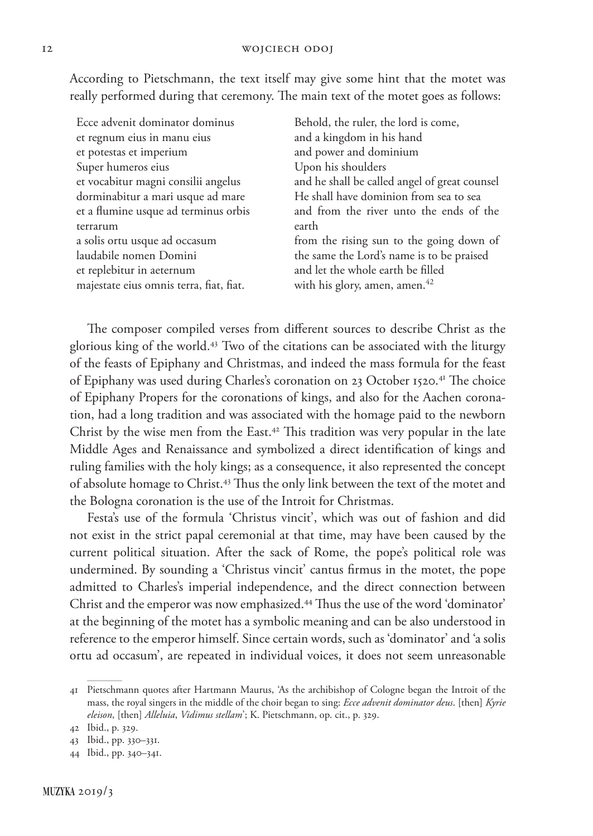According to Pietschmann, the text itself may give some hint that the motet was really performed during that ceremony. The main text of the motet goes as follows:

| Ecce advenit dominator dominus          | Behold, the ruler, the lord is come,          |
|-----------------------------------------|-----------------------------------------------|
| et regnum eius in manu eius             | and a kingdom in his hand                     |
| et potestas et imperium                 | and power and dominium                        |
| Super humeros eius                      | Upon his shoulders                            |
| et vocabitur magni consilii angelus     | and he shall be called angel of great counsel |
| dorminabitur a mari usque ad mare       | He shall have dominion from sea to sea        |
| et a flumine usque ad terminus orbis    | and from the river unto the ends of the       |
| terrarum                                | earth                                         |
| a solis ortu usque ad occasum           | from the rising sun to the going down of      |
| laudabile nomen Domini                  | the same the Lord's name is to be praised     |
| et replebitur in aeternum               | and let the whole earth be filled             |
| majestate eius omnis terra, fiat, fiat. | with his glory, amen, amen. <sup>42</sup>     |

The composer compiled verses from different sources to describe Christ as the glorious king of the world.43 Two of the citations can be associated with the liturgy of the feasts of Epiphany and Christmas, and indeed the mass formula for the feast of Epiphany was used during Charles's coronation on 23 October 1520.41 The choice of Epiphany Propers for the coronations of kings, and also for the Aachen coronation, had a long tradition and was associated with the homage paid to the newborn Christ by the wise men from the East.<sup>42</sup> This tradition was very popular in the late Middle Ages and Renaissance and symbolized a direct identification of kings and ruling families with the holy kings; as a consequence, it also represented the concept of absolute homage to Christ.43 Thus the only link between the text of the motet and the Bologna coronation is the use of the Introit for Christmas.

Festa's use of the formula 'Christus vincit', which was out of fashion and did not exist in the strict papal ceremonial at that time, may have been caused by the current political situation. After the sack of Rome, the pope's political role was undermined. By sounding a 'Christus vincit' cantus firmus in the motet, the pope admitted to Charles's imperial independence, and the direct connection between Christ and the emperor was now emphasized.44 Thus the use of the word 'dominator' at the beginning of the motet has a symbolic meaning and can be also understood in reference to the emperor himself. Since certain words, such as 'dominator' and 'a solis ortu ad occasum', are repeated in individual voices, it does not seem unreasonable

<sup>41</sup> Pietschmann quotes after Hartmann Maurus, 'As the archibishop of Cologne began the Introit of the mass, the royal singers in the middle of the choir began to sing: *Ecce advenit dominator deus*. [then] *Kyrie eleison*, [then] *Alleluia*, *Vidimus stellam*'; K. Pietschmann, op. cit., p. 329.

<sup>42</sup> Ibid., p. 329.

<sup>43</sup> Ibid., pp. 330–331.

<sup>44</sup> Ibid., pp. 340–341.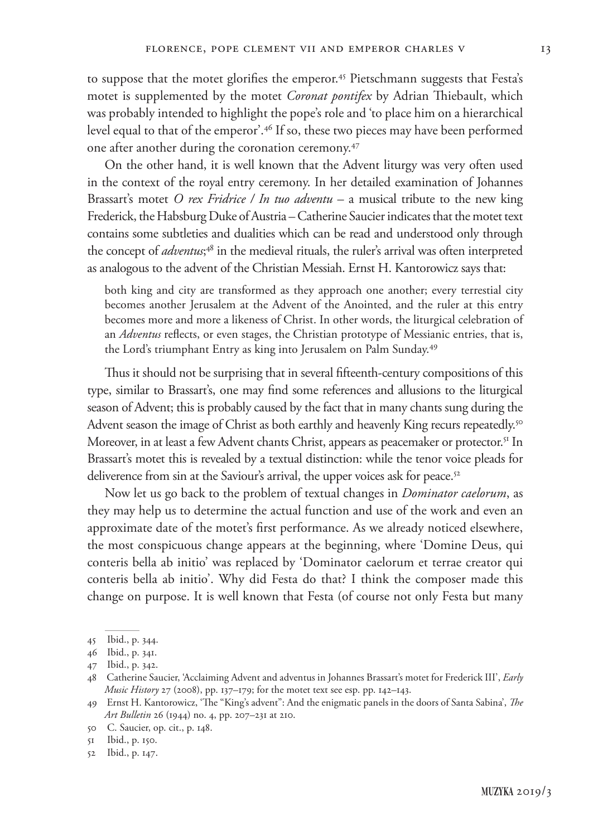to suppose that the motet glorifies the emperor.<sup>45</sup> Pietschmann suggests that Festa's motet is supplemented by the motet *Coronat pontifex* by Adrian Thiebault, which was probably intended to highlight the pope's role and 'to place him on a hierarchical level equal to that of the emperor'.46 If so, these two pieces may have been performed one after another during the coronation ceremony.47

On the other hand, it is well known that the Advent liturgy was very often used in the context of the royal entry ceremony. In her detailed examination of Johannes Brassart's motet *O rex Fridrice / In tuo adventu* – a musical tribute to the new king Frederick, the Habsburg Duke of Austria – Catherine Saucier indicates that the motet text contains some subtleties and dualities which can be read and understood only through the concept of *adventus*; 48 in the medieval rituals, the ruler's arrival was often interpreted as analogous to the advent of the Christian Messiah. Ernst H. Kantorowicz says that:

both king and city are transformed as they approach one another; every terrestial city becomes another Jerusalem at the Advent of the Anointed, and the ruler at this entry becomes more and more a likeness of Christ. In other words, the liturgical celebration of an *Adventus* reflects, or even stages, the Christian prototype of Messianic entries, that is, the Lord's triumphant Entry as king into Jerusalem on Palm Sunday.<sup>49</sup>

Thus it should not be surprising that in several fifteenth-century compositions of this type, similar to Brassart's, one may find some references and allusions to the liturgical season of Advent; this is probably caused by the fact that in many chants sung during the Advent season the image of Christ as both earthly and heavenly King recurs repeatedly.<sup>50</sup> Moreover, in at least a few Advent chants Christ, appears as peacemaker or protector.<sup>51</sup> In Brassart's motet this is revealed by a textual distinction: while the tenor voice pleads for deliverence from sin at the Saviour's arrival, the upper voices ask for peace.<sup>52</sup>

Now let us go back to the problem of textual changes in *Dominator caelorum*, as they may help us to determine the actual function and use of the work and even an approximate date of the motet's first performance. As we already noticed elsewhere, the most conspicuous change appears at the beginning, where 'Domine Deus, qui conteris bella ab initio' was replaced by 'Dominator caelorum et terrae creator qui conteris bella ab initio'. Why did Festa do that? I think the composer made this change on purpose. It is well known that Festa (of course not only Festa but many

<sup>45</sup> Ibid., p. 344.

<sup>46</sup> Ibid., p. 341.

<sup>47</sup> Ibid., p. 342.

<sup>48</sup> Catherine Saucier, 'Acclaiming Advent and adventus in Johannes Brassart's motet for Frederick III', *Early Music History* 27 (2008), pp. 137–179; for the motet text see esp. pp. 142–143.

<sup>49</sup> Ernst H. Kantorowicz, 'The "King's advent": And the enigmatic panels in the doors of Santa Sabina', *The Art Bulletin* 26 (1944) no. 4, pp. 207–231 at 210.

<sup>50</sup> C. Saucier, op. cit., p. 148.

<sup>51</sup> Ibid., p. 150.

<sup>52</sup> Ibid., p. 147.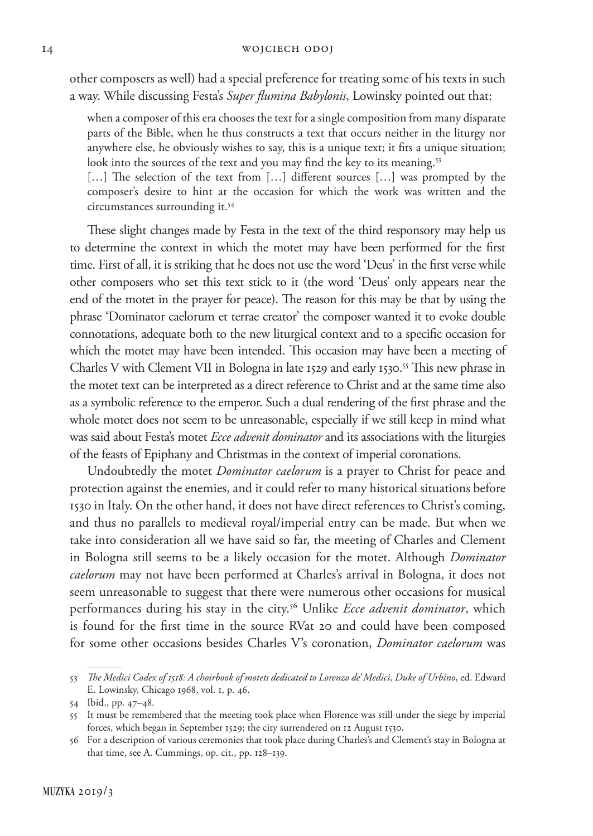other composers as well) had a special preference for treating some of his texts in such a way. While discussing Festa's *Super flumina Babylonis*, Lowinsky pointed out that:

when a composer of this era chooses the text for a single composition from many disparate parts of the Bible, when he thus constructs a text that occurs neither in the liturgy nor anywhere else, he obviously wishes to say, this is a unique text; it fits a unique situation; look into the sources of the text and you may find the key to its meaning.<sup>53</sup>

[...] The selection of the text from [...] different sources [...] was prompted by the composer's desire to hint at the occasion for which the work was written and the circumstances surrounding it.<sup>54</sup>

These slight changes made by Festa in the text of the third responsory may help us to determine the context in which the motet may have been performed for the first time. First of all, it is striking that he does not use the word 'Deus' in the first verse while other composers who set this text stick to it (the word 'Deus' only appears near the end of the motet in the prayer for peace). The reason for this may be that by using the phrase 'Dominator caelorum et terrae creator' the composer wanted it to evoke double connotations, adequate both to the new liturgical context and to a specific occasion for which the motet may have been intended. This occasion may have been a meeting of Charles V with Clement VII in Bologna in late 1529 and early 1530.<sup>55</sup> This new phrase in the motet text can be interpreted as a direct reference to Christ and at the same time also as a symbolic reference to the emperor. Such a dual rendering of the first phrase and the whole motet does not seem to be unreasonable, especially if we still keep in mind what was said about Festa's motet *Ecce advenit dominator* and its associations with the liturgies of the feasts of Epiphany and Christmas in the context of imperial coronations.

Undoubtedly the motet *Dominator caelorum* is a prayer to Christ for peace and protection against the enemies, and it could refer to many historical situations before 1530 in Italy. On the other hand, it does not have direct references to Christ's coming, and thus no parallels to medieval royal/imperial entry can be made. But when we take into consideration all we have said so far, the meeting of Charles and Clement in Bologna still seems to be a likely occasion for the motet. Although *Dominator caelorum* may not have been performed at Charles's arrival in Bologna, it does not seem unreasonable to suggest that there were numerous other occasions for musical performances during his stay in the city.56 Unlike *Ecce advenit dominator*, which is found for the first time in the source RVat 20 and could have been composed for some other occasions besides Charles V's coronation, *Dominator caelorum* was

<sup>53</sup> *The Medici Codex of 1518: A choirbook of motets dedicated to Lorenzo de' Medici, Duke of Urbino*, ed. Edward E. Lowinsky, Chicago 1968, vol. 1, p. 46.

<sup>54</sup> Ibid., pp. 47–48.

<sup>55</sup> It must be remembered that the meeting took place when Florence was still under the siege by imperial forces, which began in September 1529; the city surrendered on 12 August 1530.

<sup>56</sup> For a description of various ceremonies that took place during Charles's and Clement's stay in Bologna at that time, see A. Cummings, op. cit., pp. 128–139.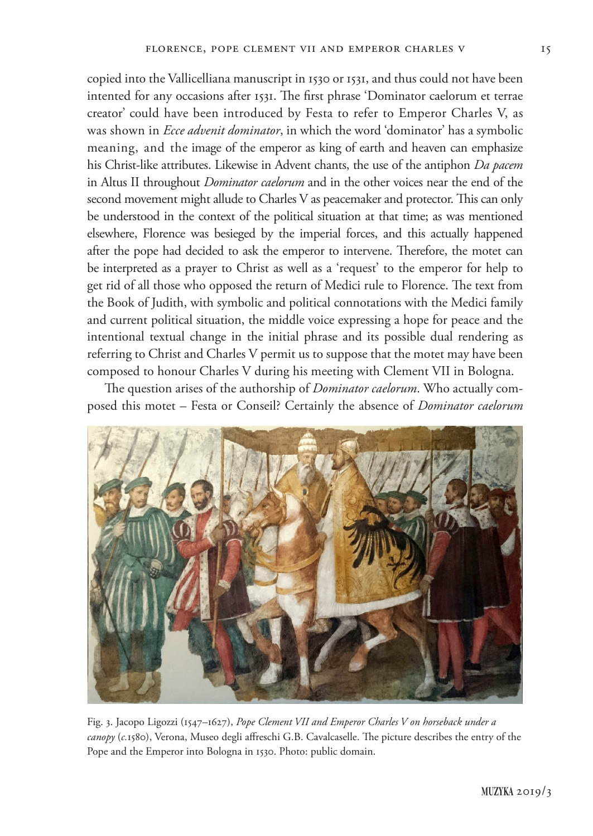copied into the Vallicelliana manuscript in 1530 or 1531, and thus could not have been intented for any occasions after 1531. The first phrase 'Dominator caelorum et terrae creator' could have been introduced by Festa to refer to Emperor Charles V, as was shown in *Ecce advenit dominator*, in which the word 'dominator' has a symbolic meaning, and the image of the emperor as king of earth and heaven can emphasize his Christ-like attributes. Likewise in Advent chants, the use of the antiphon *Da pacem* in Altus II throughout *Dominator caelorum* and in the other voices near the end of the second movement might allude to Charles V as peacemaker and protector. This can only be understood in the context of the political situation at that time; as was mentioned elsewhere, Florence was besieged by the imperial forces, and this actually happened after the pope had decided to ask the emperor to intervene. Therefore, the motet can be interpreted as a prayer to Christ as well as a 'request' to the emperor for help to get rid of all those who opposed the return of Medici rule to Florence. The text from the Book of Judith, with symbolic and political connotations with the Medici family and current political situation, the middle voice expressing a hope for peace and the intentional textual change in the initial phrase and its possible dual rendering as referring to Christ and Charles V permit us to suppose that the motet may have been composed to honour Charles V during his meeting with Clement VII in Bologna.

The question arises of the authorship of *Dominator caelorum*. Who actually composed this motet – Festa or Conseil? Certainly the absence of *Dominator caelorum*



Fig. 3. Jacopo Ligozzi (1547–1627), *Pope Clement VII and Emperor Charles V on horseback under a canopy* (*c.*1580), Verona, Museo degli affreschi G.B. Cavalcaselle. The picture describes the entry of the Pope and the Emperor into Bologna in 1530. Photo: public domain.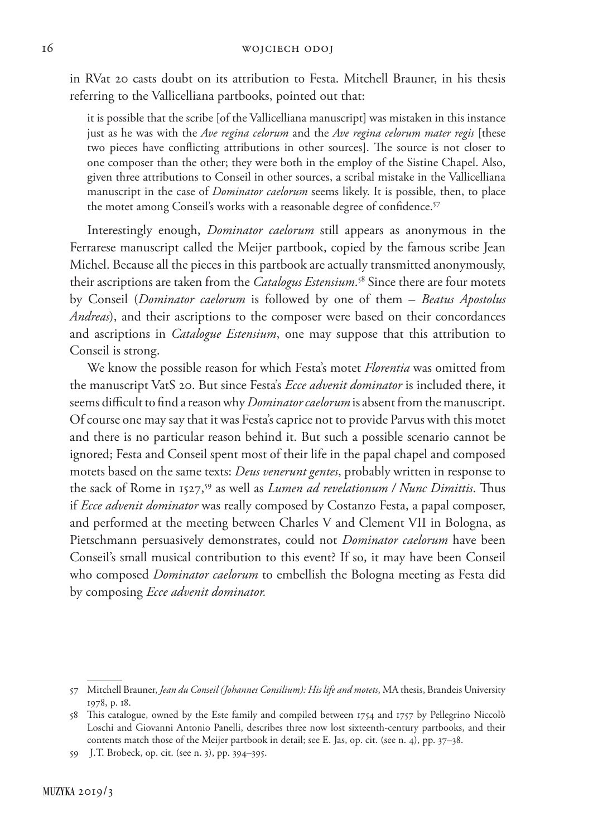in RVat 20 casts doubt on its attribution to Festa. Mitchell Brauner, in his thesis referring to the Vallicelliana partbooks, pointed out that:

it is possible that the scribe [of the Vallicelliana manuscript] was mistaken in this instance just as he was with the *Ave regina celorum* and the *Ave regina celorum mater regis* [these two pieces have conflicting attributions in other sources]. The source is not closer to one composer than the other; they were both in the employ of the Sistine Chapel. Also, given three attributions to Conseil in other sources, a scribal mistake in the Vallicelliana manuscript in the case of *Dominator caelorum* seems likely. It is possible, then, to place the motet among Conseil's works with a reasonable degree of confidence.<sup>57</sup>

Interestingly enough, *Dominator caelorum* still appears as anonymous in the Ferrarese manuscript called the Meijer partbook, copied by the famous scribe Jean Michel. Because all the pieces in this partbook are actually transmitted anonymously, their ascriptions are taken from the *Catalogus Estensium*. 58 Since there are four motets by Conseil (*Dominator caelorum* is followed by one of them – *Beatus Apostolus Andreas*), and their ascriptions to the composer were based on their concordances and ascriptions in *Catalogue Estensium*, one may suppose that this attribution to Conseil is strong.

We know the possible reason for which Festa's motet *Florentia* was omitted from the manuscript VatS 20. But since Festa's *Ecce advenit dominator* is included there, it seems difficult to find a reason why *Dominator caelorum* is absent from the manuscript. Of course one may say that it was Festa's caprice not to provide Parvus with this motet and there is no particular reason behind it. But such a possible scenario cannot be ignored; Festa and Conseil spent most of their life in the papal chapel and composed motets based on the same texts: *Deus venerunt gentes*, probably written in response to the sack of Rome in 1527,59 as well as *Lumen ad revelationum / Nunc Dimittis*. Thus if *Ecce advenit dominator* was really composed by Costanzo Festa, a papal composer, and performed at the meeting between Charles V and Clement VII in Bologna, as Pietschmann persuasively demonstrates, could not *Dominator caelorum* have been Conseil's small musical contribution to this event? If so, it may have been Conseil who composed *Dominator caelorum* to embellish the Bologna meeting as Festa did by composing *Ecce advenit dominator.*

<sup>57</sup> Mitchell Brauner, *Jean du Conseil (Johannes Consilium): His life and motets*, MA thesis, Brandeis University 1978, p. 18.

<sup>58</sup> This catalogue, owned by the Este family and compiled between 1754 and 1757 by Pellegrino Niccolò Loschi and Giovanni Antonio Panelli, describes three now lost sixteenth-century partbooks, and their contents match those of the Meijer partbook in detail; see E. Jas, op. cit. (see n. 4), pp. 37–38.

<sup>59</sup> J.T. Brobeck, op. cit. (see n. 3), pp. 394–395.